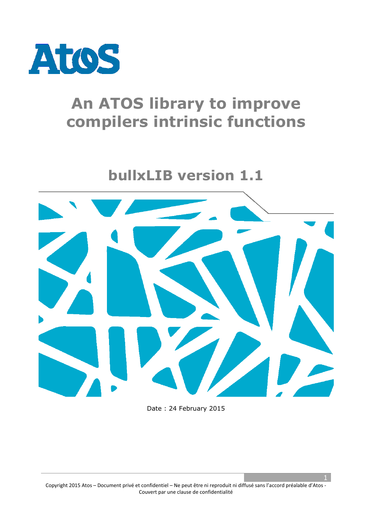

# **An ATOS library to improve compilers intrinsic functions**

## **bullxLIB version 1.1**



Date : 24 February 2015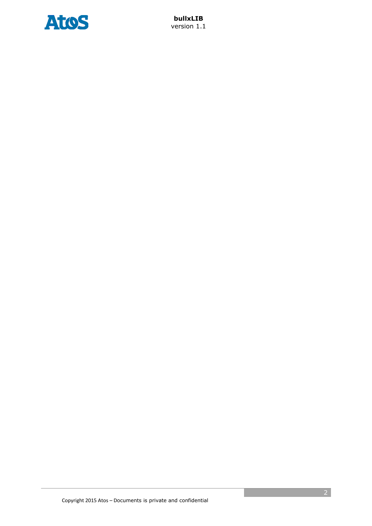

bullxLIB version 1.1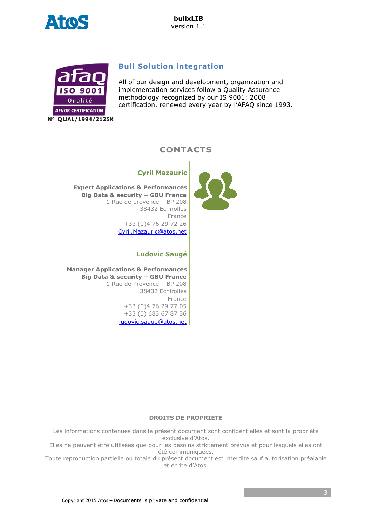

**bullxLIB** version 1.1



### **Bull Solution integration**

All of our design and development, organization and implementation services follow a Quality Assurance methodology recognized by our IS 9001: 2008 certification, renewed every year by l'AFAQ since 1993.

### **CONTACTS**

### **Cyril Mazauric**

**Expert Applications & Performances Big Data & security – GBU France** 1 Rue de provence – BP 208 38432 Echirolles France +33 (0)4 76 29 72 26 [Cyril.Mazauric@atos.net](mailto:Cyril.Mazauric@atos.net)

### **Ludovic Saugé**

**Manager Applications & Performances Big Data & security – GBU France** 1 Rue de Provence – BP 208 38432 Echirolles France +33 (0)4 76 29 77 05 +33 (0) 683 67 87 36 [ludovic.sauge@atos.net](mailto:ludovic.sauge@atos.net)



#### **DROITS DE PROPRIETE**

Les informations contenues dans le présent document sont confidentielles et sont la propriété exclusive d'Atos.

Elles ne peuvent être utilisées que pour les besoins strictement prévus et pour lesquels elles ont été communiquées.

Toute reproduction partielle ou totale du présent document est interdite sauf autorisation préalable et écrite d'Atos.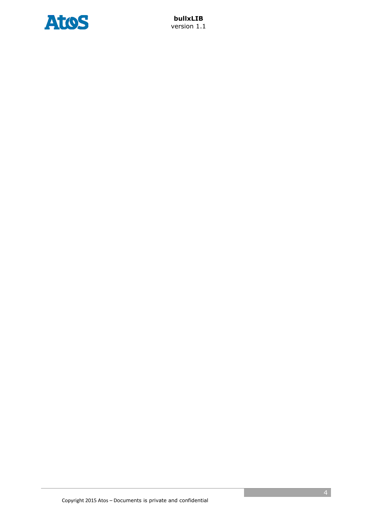

bullxLIB version 1.1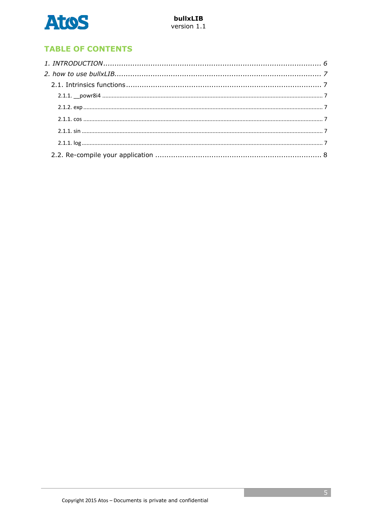

### **TABLE OF CONTENTS**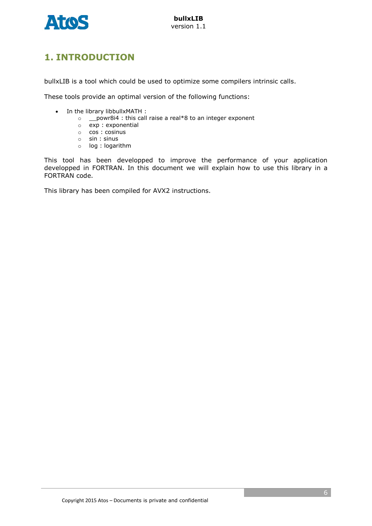

### <span id="page-5-0"></span>**1. INTRODUCTION**

bullxLIB is a tool which could be used to optimize some compilers intrinsic calls.

These tools provide an optimal version of the following functions:

- In the library libbullxMATH :
	- o \_\_powr8i4 : this call raise a real\*8 to an integer exponent
	- $\circ$  exp : exponential
	- o cos : cosinus
	- o sin : sinus
	- o log : logarithm

This tool has been developped to improve the performance of your application developped in FORTRAN. In this document we will explain how to use this library in a FORTRAN code.

This library has been compiled for AVX2 instructions.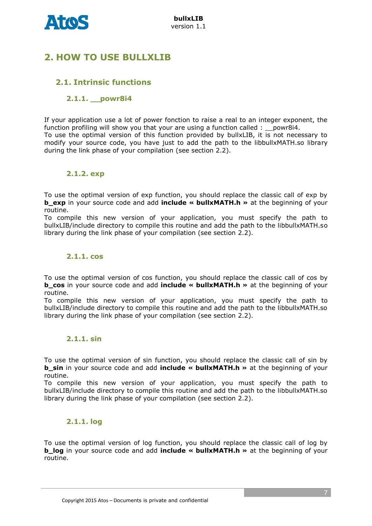

### <span id="page-6-0"></span>**2. HOW TO USE BULLXLIB**

### <span id="page-6-2"></span><span id="page-6-1"></span>**2.1. Intrinsic functions**

### **2.1.1. \_\_powr8i4**

If your application use a lot of power fonction to raise a real to an integer exponent, the function profiling will show you that your are using a function called : \_\_powr8i4. To use the optimal version of this function provided by bullxLIB, it is not necessary to modify your source code, you have just to add the path to the libbullxMATH.so library during the link phase of your compilation (see section [2.2\)](#page-7-0).

### <span id="page-6-3"></span>**2.1.2. exp**

To use the optimal version of exp function, you should replace the classic call of exp by **b\_exp** in your source code and add **include « bullxMATH.h »** at the beginning of your routine.

To compile this new version of your application, you must specify the path to bullxLIB/include directory to compile this routine and add the path to the libbullxMATH.so library during the link phase of your compilation (see section [2.2\)](#page-7-0).

### <span id="page-6-4"></span>**2.1.1. cos**

To use the optimal version of cos function, you should replace the classic call of cos by **b\_cos** in your source code and add **include « bullxMATH.h »** at the beginning of your routine.

To compile this new version of your application, you must specify the path to bullxLIB/include directory to compile this routine and add the path to the libbullxMATH.so library during the link phase of your compilation (see section [2.2\)](#page-7-0).

### <span id="page-6-5"></span>**2.1.1. sin**

To use the optimal version of sin function, you should replace the classic call of sin by **b\_sin** in your source code and add **include « bullxMATH.h »** at the beginning of your routine.

To compile this new version of your application, you must specify the path to bullxLIB/include directory to compile this routine and add the path to the libbullxMATH.so library during the link phase of your compilation (see section [2.2\)](#page-7-0).

### <span id="page-6-6"></span>**2.1.1. log**

To use the optimal version of log function, you should replace the classic call of log by **b\_log** in your source code and add **include « bullxMATH.h »** at the beginning of your routine.